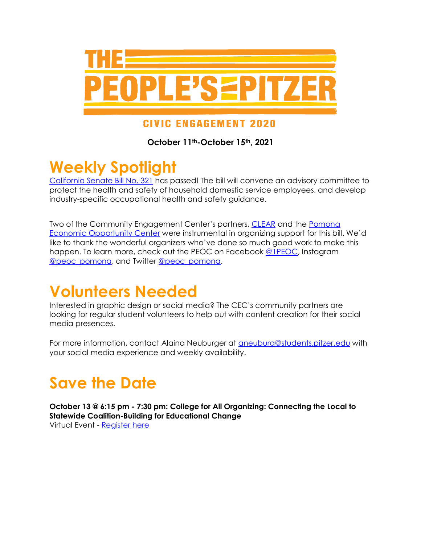

#### **CIVIC ENGAGEMENT 2020**

**October 11th-October 15th, 2021**

## **Weekly Spotlight**

[California Senate Bill No. 321](https://leginfo.legislature.ca.gov/faces/billNavClient.xhtml?bill_id=202120220SB321) has passed! The bill will convene an advisory committee to protect the health and safety of household domestic service employees, and develop industry-specific occupational health and safety guidance.

Two of the Community Engagement Center's partners, [CLEAR](https://pomonadaylabor.org/clear-women-workers/) and the [Pomona](https://pomonadaylabor.org/)  [Economic Opportunity Center](https://pomonadaylabor.org/) were instrumental in organizing support for this bill. We'd like to thank the wonderful organizers who've done so much good work to make this happen. To learn more, check out the PEOC on Facebook [@1PEOC,](https://www.facebook.com/1PEOC) Instagram [@peoc\\_pomona,](https://www.instagram.com/peoc_pomona/) and Twitter [@peoc\\_pomona.](https://twitter.com/peoc_pomona)

## **Volunteers Needed**

Interested in graphic design or social media? The CEC's community partners are looking for regular student volunteers to help out with content creation for their social media presences.

For more information, contact Alaina Neuburger at **[aneuburg@students.pitzer.edu](mailto:aneuburg@students.pitzer.edu)** with your social media experience and weekly availability.

# **Save the Date**

**October 13 @ 6:15 pm - 7:30 pm: College for All Organizing: Connecting the Local to Statewide Coalition-Building for Educational Change** Virtual Event - [Register here](https://pitzer.zoom.us/meeting/register/tZMkfumrrTsiHtUh88HfIDpt9v-Qlo56Fenk)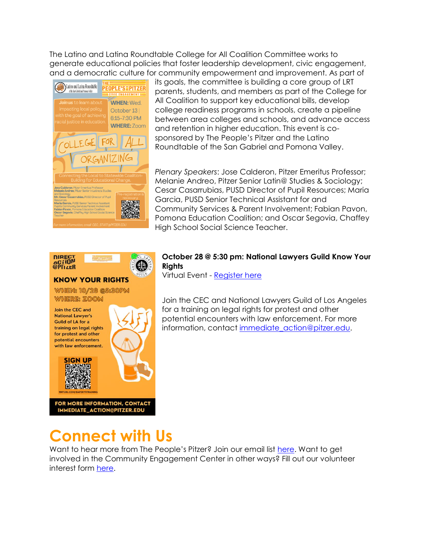The Latino and Latina Roundtable College for All Coalition Committee works to generate educational policies that foster leadership development, civic engagement, and a democratic culture for community empowerment and improvement. As part of



its goals, the committee is building a core group of LRT parents, students, and members as part of the College for All Coalition to support key educational bills, develop college readiness programs in schools, create a pipeline between area colleges and schools, and advance access and retention in higher education. This event is cosponsored by The People's Pitzer and the Latino Roundtable of the San Gabriel and Pomona Valley.

*Plenary Speakers*: Jose Calderon, Pitzer Emeritus Professor; Melanie Andreo, Pitzer Senior Latin@ Studies & Sociology; Cesar Casarrubias, PUSD Director of Pupil Resources; Maria Garcia, PUSD Senior Technical Assistant for and Community Services & Parent Involvement; Fabian Pavon, Pomona Education Coalition; and Oscar Segovia, Chaffey High School Social Science Teacher.



#### **October 28 @ 5:30 pm: National Lawyers Guild Know Your Rights**

Virtual Event - [Register here](https://pitzer.zoom.us/meeting/register/tZctduCrqz4sHtFmdOGGynkBQnbO9-U6R3rZ)

Join the CEC and National Lawyers Guild of Los Angeles for a training on legal rights for protest and other potential encounters with law enforcement. For more information, contact [immediate\\_action@pitzer.edu.](mailto:immediate_action@pitzer.edu)

## **Connect with Us**

Want to hear more from The People's Pitzer? Join our email list [here.](https://docs.google.com/forms/d/e/1FAIpQLSfSZ7sYO1AnL1Bf0fNdz445qcZZi-1mGExXkOz2TN7KLCDaJQ/viewform?usp=pp_url) Want to get involved in the Community Engagement Center in other ways? Fill out our volunteer interest form [here.](https://www.pitzer.edu/cec/community-engagement-center/volunteer-opportunities/)